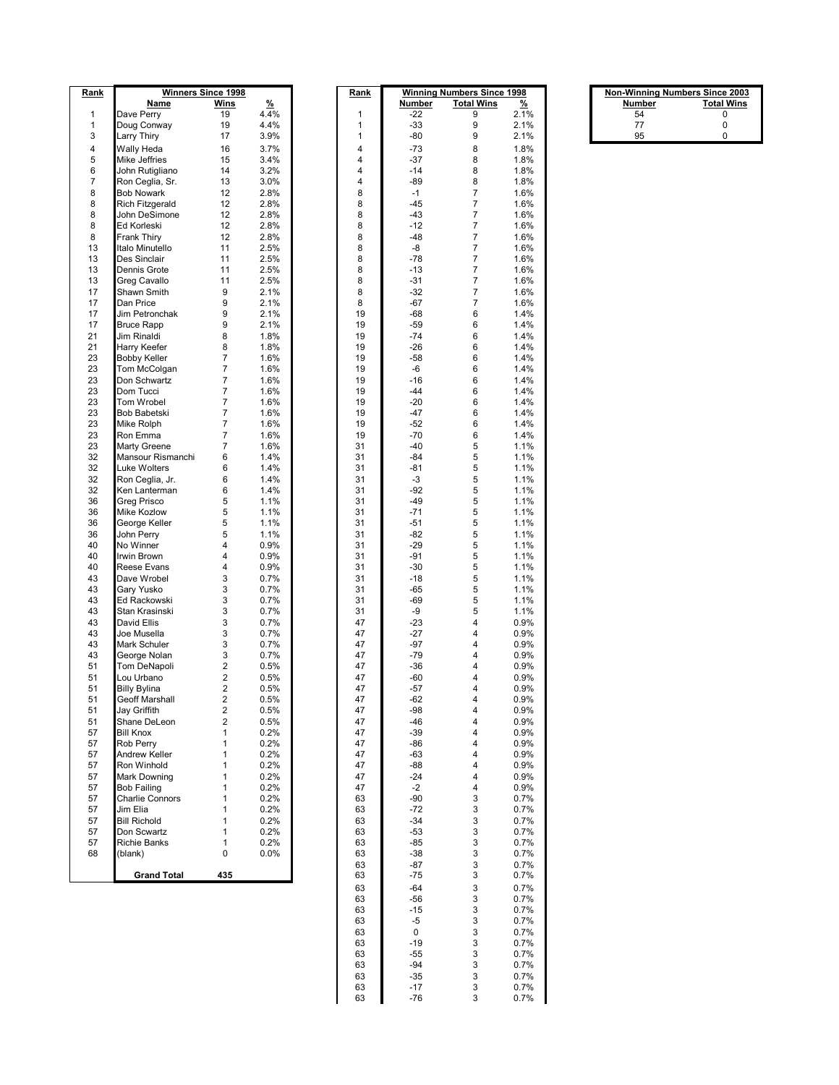| Rank     |                                    | <b>Winners Since 1998</b>          |              | <u>Rank</u> |                | <b>Winning Numbers Since 1998</b>  |              | <b>Non-Winning Numbers Since 2003</b> |                   |
|----------|------------------------------------|------------------------------------|--------------|-------------|----------------|------------------------------------|--------------|---------------------------------------|-------------------|
|          | <b>Name</b>                        | <b>Wins</b>                        | %            |             | Number         | <b>Total Wins</b>                  | %            | Number                                | <b>Total Wins</b> |
| 1        | Dave Perry                         | 19                                 | 4.4%         | 1           | $-22$          | 9                                  | 2.1%         | 54                                    | 0                 |
| 1<br>3   | Doug Conway                        | 19<br>17                           | 4.4%<br>3.9% | 1<br>1      | $-33$<br>$-80$ | 9<br>9                             | 2.1%<br>2.1% | 77<br>95                              | 0<br>0            |
| 4        | Larry Thiry<br>Wally Heda          | 16                                 | 3.7%         | 4           | $-73$          | 8                                  | 1.8%         |                                       |                   |
| 5        | Mike Jeffries                      | 15                                 | 3.4%         | 4           | $-37$          | 8                                  | 1.8%         |                                       |                   |
| 6        | John Rutigliano                    | 14                                 | 3.2%         | 4           | $-14$          | 8                                  | 1.8%         |                                       |                   |
| 7        | Ron Ceglia, Sr.                    | 13                                 | 3.0%         | 4           | -89            | 8                                  | 1.8%         |                                       |                   |
| 8        | <b>Bob Nowark</b>                  | 12                                 | 2.8%         | 8           | $-1$           | $\boldsymbol{7}$                   | 1.6%         |                                       |                   |
| 8        | Rich Fitzgerald                    | 12                                 | 2.8%         | 8           | $-45$          | $\boldsymbol{7}$                   | 1.6%         |                                       |                   |
| 8        | John DeSimone                      | 12                                 | 2.8%         | 8           | -43            | $\boldsymbol{7}$                   | 1.6%         |                                       |                   |
| 8        | Ed Korleski                        | 12                                 | 2.8%         | 8           | $-12$          | $\boldsymbol{7}$                   | 1.6%         |                                       |                   |
| 8<br>13  | Frank Thiry<br>Italo Minutello     | 12<br>11                           | 2.8%<br>2.5% | 8<br>8      | -48<br>-8      | $\boldsymbol{7}$<br>$\overline{7}$ | 1.6%<br>1.6% |                                       |                   |
| 13       | Des Sinclair                       | 11                                 | 2.5%         | 8           | $-78$          | $\overline{7}$                     | 1.6%         |                                       |                   |
| 13       | Dennis Grote                       | 11                                 | 2.5%         | 8           | $-13$          | $\boldsymbol{7}$                   | 1.6%         |                                       |                   |
| 13       | Greg Cavallo                       | 11                                 | 2.5%         | 8           | $-31$          | $\overline{7}$                     | 1.6%         |                                       |                   |
| 17       | Shawn Smith                        | 9                                  | 2.1%         | 8           | -32            | $\overline{7}$                     | 1.6%         |                                       |                   |
| 17       | Dan Price                          | 9                                  | 2.1%         | 8           | -67            | $\boldsymbol{7}$                   | 1.6%         |                                       |                   |
| 17       | Jim Petronchak                     | 9                                  | 2.1%         | 19          | -68            | 6                                  | 1.4%         |                                       |                   |
| 17       | <b>Bruce Rapp</b>                  | 9                                  | 2.1%         | 19          | -59            | 6                                  | 1.4%         |                                       |                   |
| 21<br>21 | Jim Rinaldi<br>Harry Keefer        | 8<br>8                             | 1.8%<br>1.8% | 19<br>19    | $-74$<br>$-26$ | 6<br>6                             | 1.4%<br>1.4% |                                       |                   |
| 23       | <b>Bobby Keller</b>                | $\boldsymbol{7}$                   | 1.6%         | 19          | $-58$          | 6                                  | 1.4%         |                                       |                   |
| 23       | Tom McColgan                       | $\boldsymbol{7}$                   | 1.6%         | 19          | -6             | 6                                  | 1.4%         |                                       |                   |
| 23       | Don Schwartz                       | $\boldsymbol{7}$                   | 1.6%         | 19          | $-16$          | 6                                  | 1.4%         |                                       |                   |
| 23       | Dom Tucci                          | $\overline{7}$                     | 1.6%         | 19          | $-44$          | 6                                  | 1.4%         |                                       |                   |
| 23       | Tom Wrobel                         | $\overline{7}$                     | 1.6%         | 19          | $-20$          | 6                                  | 1.4%         |                                       |                   |
| 23       | <b>Bob Babetski</b>                | $\boldsymbol{7}$                   | 1.6%         | 19          | $-47$          | 6                                  | 1.4%         |                                       |                   |
| 23<br>23 | Mike Rolph                         | $\boldsymbol{7}$<br>$\overline{7}$ | 1.6%         | 19<br>19    | $-52$<br>-70   | 6                                  | 1.4%         |                                       |                   |
| 23       | Ron Emma<br>Marty Greene           | $\boldsymbol{7}$                   | 1.6%<br>1.6% | 31          | $-40$          | 6<br>5                             | 1.4%<br>1.1% |                                       |                   |
| 32       | Mansour Rismanchi                  | 6                                  | 1.4%         | 31          | -84            | 5                                  | 1.1%         |                                       |                   |
| 32       | Luke Wolters                       | 6                                  | 1.4%         | 31          | -81            | 5                                  | 1.1%         |                                       |                   |
| 32       | Ron Ceglia, Jr.                    | 6                                  | 1.4%         | 31          | $-3$           | 5                                  | 1.1%         |                                       |                   |
| 32       | Ken Lanterman                      | 6                                  | 1.4%         | 31          | -92            | 5                                  | 1.1%         |                                       |                   |
| 36       | Greg Prisco                        | 5                                  | 1.1%         | 31          | $-49$          | 5                                  | 1.1%         |                                       |                   |
| 36       | Mike Kozlow                        | 5                                  | 1.1%         | 31          | $-71$          | 5                                  | 1.1%         |                                       |                   |
| 36<br>36 | George Keller                      | 5<br>5                             | 1.1%         | 31          | $-51$          | 5                                  | 1.1%         |                                       |                   |
| 40       | John Perry<br>No Winner            | $\overline{4}$                     | 1.1%<br>0.9% | 31<br>31    | $-82$<br>$-29$ | 5<br>5                             | 1.1%<br>1.1% |                                       |                   |
| 40       | Irwin Brown                        | 4                                  | 0.9%         | 31          | $-91$          | 5                                  | 1.1%         |                                       |                   |
| 40       | Reese Evans                        | 4                                  | 0.9%         | 31          | -30            | 5                                  | 1.1%         |                                       |                   |
| 43       | Dave Wrobel                        | 3                                  | 0.7%         | 31          | $-18$          | 5                                  | 1.1%         |                                       |                   |
| 43       | Gary Yusko                         | $\ensuremath{\mathsf{3}}$          | 0.7%         | 31          | $-65$          | 5                                  | 1.1%         |                                       |                   |
| 43       | Ed Rackowski                       | 3                                  | 0.7%         | 31          | -69            | 5                                  | 1.1%         |                                       |                   |
| 43       | Stan Krasinski                     | 3                                  | 0.7%         | 31          | -9             | 5                                  | 1.1%         |                                       |                   |
| 43<br>43 | David Ellis<br>Joe Musella         | $\ensuremath{\mathsf{3}}$<br>3     | 0.7%<br>0.7% | 47<br>47    | $-23$<br>$-27$ | 4<br>4                             | 0.9%<br>0.9% |                                       |                   |
| 43       | Mark Schuler                       | 3                                  | 0.7%         | 47          | $-97$          | 4                                  | 0.9%         |                                       |                   |
| 43       | George Nolan                       | $\ensuremath{\mathsf{3}}$          | 0.7%         | 47          | $-79$          | 4                                  | 0.9%         |                                       |                   |
| 51       | Tom DeNapoli                       | $\overline{2}$                     | 0.5%         | 47          | -36            | 4                                  | 0.9%         |                                       |                   |
| 51       | Lou Urbano                         | $\overline{\mathbf{c}}$            | 0.5%         | 47          | -60            | 4                                  | 0.9%         |                                       |                   |
| 51       | <b>Billy Bylina</b>                | $\overline{c}$                     | 0.5%         | 47          | $-57$          | 4                                  | 0.9%         |                                       |                   |
| 51       | Geoff Marshall                     | 2                                  | 0.5%         | 47          | $-62$          | 4                                  | 0.9%         |                                       |                   |
| 51       | Jay Griffith                       | $\boldsymbol{2}$                   | 0.5%         | 47          | -98            | 4                                  | 0.9%         |                                       |                   |
| 51<br>57 | Shane DeLeon<br><b>Bill Knox</b>   | $\sqrt{2}$<br>1                    | 0.5%<br>0.2% | 47<br>47    | $-46$<br>$-39$ | 4<br>4                             | 0.9%<br>0.9% |                                       |                   |
| 57       | <b>Rob Perrv</b>                   | $\mathbf{1}$                       | 0.2%         | 47          | $-86$          | 4                                  | 0.9%         |                                       |                   |
| 57       | Andrew Keller                      | $\mathbf{1}$                       | 0.2%         | 47          | $-63$          | 4                                  | 0.9%         |                                       |                   |
| 57       | Ron Winhold                        | $\mathbf{1}$                       | 0.2%         | 47          | $-88$          | 4                                  | 0.9%         |                                       |                   |
| 57       | <b>Mark Downing</b>                | $\mathbf{1}$                       | 0.2%         | 47          | $-24$          | 4                                  | 0.9%         |                                       |                   |
| 57       | Bob Failing                        | 1                                  | 0.2%         | 47          | $-2$           | 4                                  | 0.9%         |                                       |                   |
| 57       | <b>Charlie Connors</b>             | 1                                  | 0.2%         | 63          | $-90$          | 3                                  | 0.7%         |                                       |                   |
| 57       | Jim Elia                           | $\mathbf{1}$                       | 0.2%         | 63          | -72            | 3                                  | 0.7%         |                                       |                   |
| 57<br>57 | <b>Bill Richold</b><br>Don Scwartz | $\mathbf{1}$<br>$\mathbf{1}$       | 0.2%         | 63<br>63    | $-34$<br>$-53$ | 3                                  | 0.7%         |                                       |                   |
| 57       | Richie Banks                       | $\mathbf{1}$                       | 0.2%<br>0.2% | 63          | -85            | 3<br>3                             | 0.7%<br>0.7% |                                       |                   |
| 68       | (blank)                            | 0                                  | 0.0%         | 63          | $-38$          | 3                                  | 0.7%         |                                       |                   |
|          |                                    |                                    |              | 63          | -87            | 3                                  | 0.7%         |                                       |                   |
|          | <b>Grand Total</b>                 | 435                                |              | 63          | $-75$          | 3                                  | 0.7%         |                                       |                   |
|          |                                    |                                    |              | 63          | $-64$          | 3                                  | 0.7%         |                                       |                   |
|          |                                    |                                    |              | 63          | $-56$          | 3                                  | 0.7%         |                                       |                   |
|          |                                    |                                    |              | 63          | $-15$          | 3                                  | 0.7%         |                                       |                   |
|          |                                    |                                    |              | 63          | $-5$           | 3                                  | 0.7%         |                                       |                   |

|        | <b>Non-Winning Numbers Since 2003</b> |  |  |  |  |  |
|--------|---------------------------------------|--|--|--|--|--|
| Number | <b>Total Wins</b>                     |  |  |  |  |  |
| 54     | O                                     |  |  |  |  |  |
| 77     | n                                     |  |  |  |  |  |
| QБ     |                                       |  |  |  |  |  |

0 3 0.7%

 $\begin{array}{cccc} 63 & & -19 & & 3 & 0.7\% \\ 63 & & -55 & & 3 & 0.7\% \\ 63 & & -94 & & 3 & 0.7\% \\ 63 & & -35 & & 3 & 0.7\% \\ 63 & & -17 & & 3 & 0.7\% \\ 63 & & -76 & & 3 & 0.7\% \end{array}$  $\begin{array}{cccccc} 63 & & & -55 & & 3 & & 0.7\% \\ 63 & & & -94 & & 3 & & 0.7\% \\ 63 & & & -35 & & 3 & & 0.7\% \\ 63 & & & -17 & & 3 & & 0.7\% \\ 63 & & & -76 & & 3 & & 0.7\% \end{array}$  -94 3 0.7% -35 3 0.7% -17 3 0.7% -76 3 0.7%